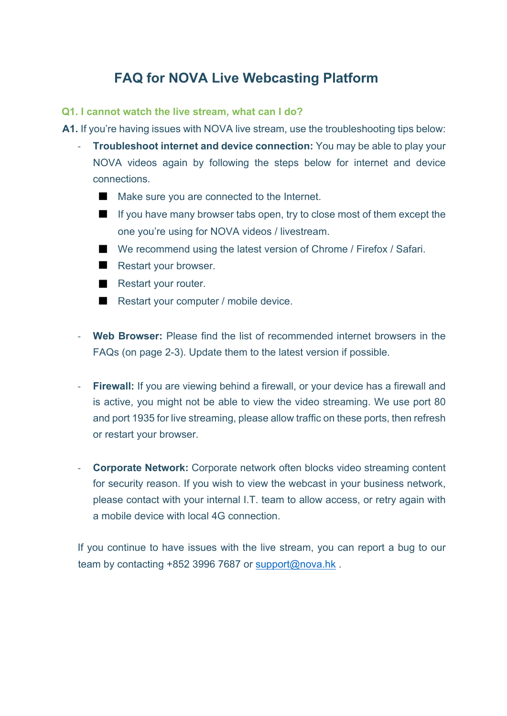# **FAQ for NOVA Live Webcasting Platform**

#### **Q1. I cannot watch the live stream, what can I do?**

**A1.** If you're having issues with NOVA live stream, use the troubleshooting tips below:

- **Troubleshoot internet and device connection:** You may be able to play your NOVA videos again by following the steps below for internet and device connections.
	- Make sure you are connected to the Internet.
	- If you have many browser tabs open, try to close most of them except the one you're using for NOVA videos / livestream.
	- We recommend using the latest version of Chrome / Firefox / Safari.
	- Restart your browser.
	- Restart your router.
	- Restart your computer / mobile device.
- **Web Browser:** Please find the list of recommended internet browsers in the FAQs (on page 2-3). Update them to the latest version if possible.
- **Firewall:** If you are viewing behind a firewall, or your device has a firewall and is active, you might not be able to view the video streaming. We use port 80 and port 1935 for live streaming, please allow traffic on these ports, then refresh or restart your browser.
- **Corporate Network:** Corporate network often blocks video streaming content for security reason. If you wish to view the webcast in your business network, please contact with your internal I.T. team to allow access, or retry again with a mobile device with local 4G connection.

If you continue to have issues with the live stream, you can report a bug to our team by contacting +852 3996 7687 or support@nova.hk.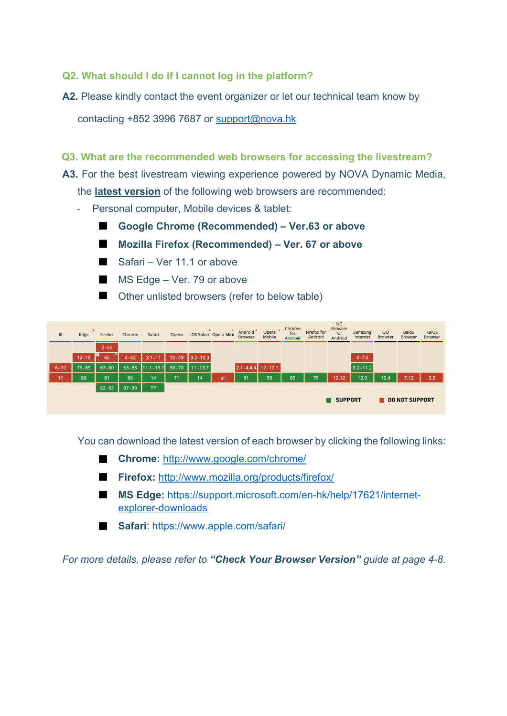### **Q2. What should I do if I cannot log in the platform?**

A2. Please kindly contact the event organizer or let our technical team know by

contacting +852 3996 7687 or support@nova.hk

#### **Q3. What are the recommended web browsers for accessing the livestream?**

**A3.** For the best livestream viewing experience powered by NOVA Dynamic Media,

the **latest version** of the following web browsers are recommended:

- Personal computer, Mobile devices & tablet:
	- ◼ **Google Chrome (Recommended) – Ver.63 or above**
	- ◼ **Mozilla Firefox (Recommended) – Ver. 67 or above**
	- Safari Ver 11.1 or above
	- $\blacksquare$  MS Edge Ver. 79 or above
	- Other unlisted browsers (refer to below table)

| IE       | Edge      | Firefox            | Chrome   | Safari                        | Opera |                  | iOS Safari Opera Mini | Android <sup>*</sup><br>Browser | $\star$<br>Opera<br>Mobile | Chrome<br>for<br>Android | Firefox for<br>Android | <b>UC</b><br><b>Browser</b><br>for<br>Android | Samsung<br>Internet | QQ<br><b>Browser</b> | Baidu<br><b>Browser</b> | KaiOS<br><b>Browser</b> |
|----------|-----------|--------------------|----------|-------------------------------|-------|------------------|-----------------------|---------------------------------|----------------------------|--------------------------|------------------------|-----------------------------------------------|---------------------|----------------------|-------------------------|-------------------------|
|          |           | $2 - 65$           |          |                               |       |                  |                       |                                 |                            |                          |                        |                                               |                     |                      |                         |                         |
|          | $12 - 18$ | $\mathbf{I}$<br>66 | $4 - 62$ | $3.1 - 11$                    |       | $10-49$ 3.2-10.3 |                       |                                 |                            |                          |                        |                                               | $4 - 7.4$           |                      |                         |                         |
| $6 - 10$ | $79 - 85$ | $67 - 80$          |          | 63-85 11.1-13.1 50-70 11-13.7 |       |                  |                       | $2.1 - 4.4.4$ 12 - 12.1         |                            |                          |                        |                                               | $8.2 - 11.2$        |                      |                         |                         |
| 11       | 86        | 81                 | 86       | 14                            | 71    | 14'              | all                   | 81                              | 59                         | 85                       | 79                     | 12.12                                         | 12.0                | 10.4                 | 7.12                    | 2.5                     |
|          |           | 82-83              | 87-89    | TP                            |       |                  |                       |                                 |                            |                          |                        |                                               |                     |                      |                         |                         |
|          |           |                    |          |                               |       |                  |                       |                                 |                            |                          |                        | SUPPORT                                       |                     |                      | DO NOT SUPPORT          |                         |

You can download the latest version of each browser by clicking the following links:

- **Chrome:** http://www.google.com/chrome/
- **Firefox:** http://www.mozilla.org/products/firefox/
- MS Edge: https://support.microsoft.com/en-hk/help/17621/internetexplorer-downloads
- **Safari**: https://www.apple.com/safari/

*For more details, please refer to "Check Your Browser Version" guide at page 4-8.*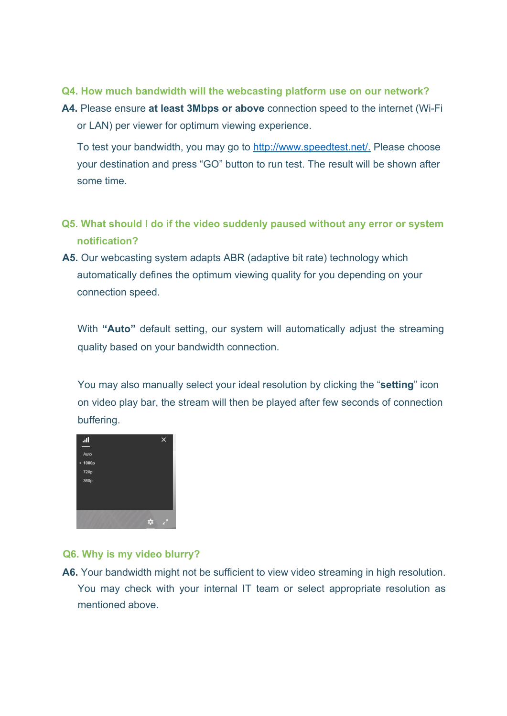- **Q4. How much bandwidth will the webcasting platform use on our network?**
- **A4.** Please ensure **at least 3Mbps or above** connection speed to the internet (Wi-Fi or LAN) per viewer for optimum viewing experience.

To test your bandwidth, you may go to http://www.speedtest.net/. Please choose your destination and press "GO" button to run test. The result will be shown after some time.

- **Q5. What should I do if the video suddenly paused without any error or system notification?**
- **A5.** Our webcasting system adapts ABR (adaptive bit rate) technology which automatically defines the optimum viewing quality for you depending on your connection speed.

With **"Auto"** default setting, our system will automatically adjust the streaming quality based on your bandwidth connection.

You may also manually select your ideal resolution by clicking the "**setting**" icon on video play bar, the stream will then be played after few seconds of connection buffering.



## **Q6. Why is my video blurry?**

**A6.** Your bandwidth might not be sufficient to view video streaming in high resolution. You may check with your internal IT team or select appropriate resolution as mentioned above.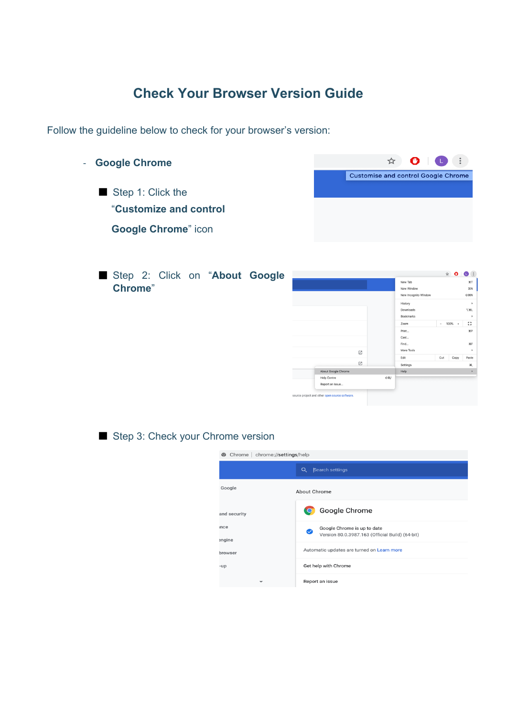# **Check Your Browser Version Guide**

Follow the guideline below to check for your browser's version:

- **Google Chrome**  ■ Step 1: Click the "**Customize and control Google Chrome**" icon



■ Step 2: Click on "About Google **Chrome**"

|                     |       |                      |                          | $\overrightarrow{X}$ | $\bullet$ $\bullet$ : |
|---------------------|-------|----------------------|--------------------------|----------------------|-----------------------|
|                     |       | New Tab              |                          |                      | $*T$                  |
|                     |       | New Window           |                          |                      | <b>XX</b>             |
|                     |       | New Incognito Window |                          |                      | <b>O</b> %N           |
|                     |       | History              |                          |                      | ×                     |
|                     |       | Downloads            |                          |                      | <b>V3EL</b>           |
|                     |       | Bookmarks            |                          |                      | Þ                     |
|                     |       | Zoom                 | $\overline{\phantom{a}}$ | $100\% +$            | Ω                     |
|                     |       | Print                |                          |                      | HP                    |
|                     |       | Cast                 |                          |                      |                       |
|                     |       | Find                 |                          |                      | 3CF                   |
|                     | Ø     | More Tools           |                          |                      | Þ                     |
|                     |       | Edit                 | Cut                      | Copy                 | Paste                 |
|                     | Ø     | Settings             |                          |                      | ×,                    |
| About Google Chrome |       | Help                 |                          |                      | k                     |
| <b>Help Centre</b>  | O 38/ |                      |                          |                      |                       |
| Report an Issue     |       |                      |                          |                      |                       |

■ Step 3: Check your Chrome version

| Chrome   chrome://settings/help |                                                                                     |
|---------------------------------|-------------------------------------------------------------------------------------|
|                                 | Search settings<br>Q                                                                |
| Google                          | <b>About Chrome</b>                                                                 |
| <b>nd</b> security              | Google Chrome                                                                       |
| nce<br>ngine                    | Google Chrome is up to date<br>◙<br>Version 80.0.3987.163 (Official Build) (64-bit) |
| rowser                          | Automatic updates are turned on Learn more                                          |
| up                              | Get help with Chrome                                                                |
| ÷                               | Report an issue                                                                     |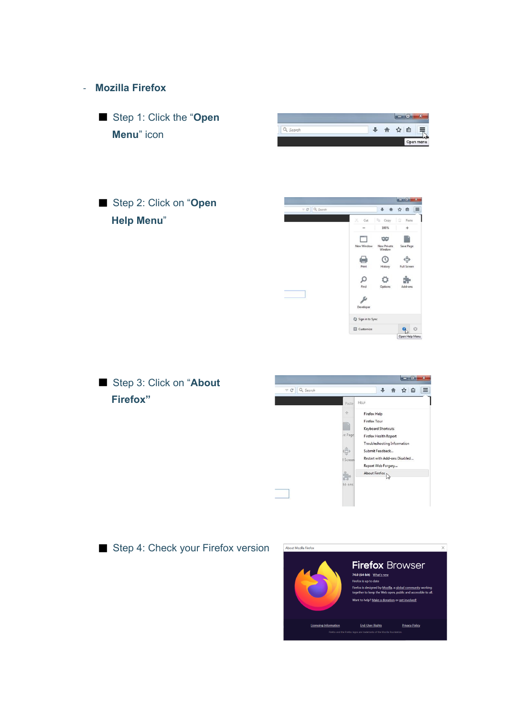

■ Step 4: Check your Firefox version

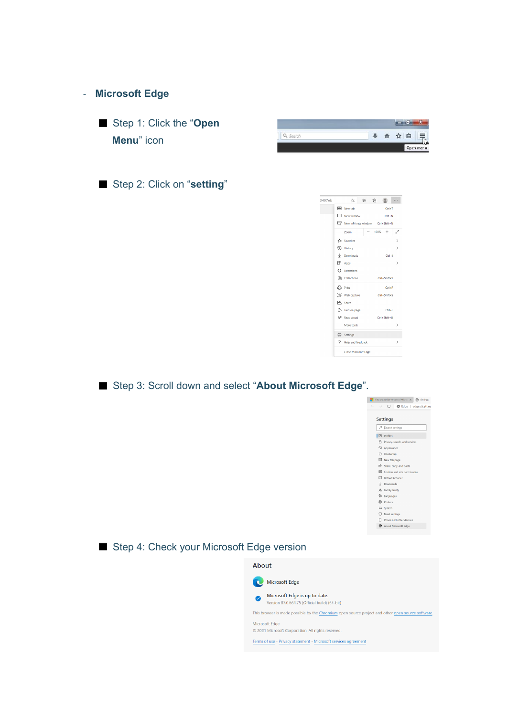#### - **Microsoft Edge**

■ Step 1: Click the "Open **Menu**" icon

■ Step 2: Click on "setting"

| 3497eb | ☆ ☆ ●<br>۰                           |           |
|--------|--------------------------------------|-----------|
|        | <b>E. New tab</b><br>$Ctrl + T$      |           |
|        | <b>Mew window</b><br>$Ctrl + N$      |           |
|        | New InPrivate window Ctrl+Shift+N    |           |
|        | 100%<br><b>Zoom</b><br>$^{+}$        |           |
|        | T <sup>1</sup> ≡ Favorites           | ⋋         |
|        | <b>D</b> History                     | ↘         |
|        | $\downarrow$ Downloads<br>$Ctrl + J$ |           |
|        | EP Apps                              | ⋋         |
|        | <b>C</b> Extensions                  |           |
|        | (中 Collections<br>Ctrl+Shift+Y       |           |
|        | 品 Print<br>$C$ trl+P                 |           |
|        | Web capture<br>Ctrl+Shift+S          |           |
|        | <sup>2</sup> Share                   |           |
|        | <b>B</b> Find on page<br>$Ctrl + F$  |           |
|        | $A^{ij}$ Read aloud<br>Ctrl+Shift+U  |           |
|        | More tools                           | ⋋         |
|        | Settings                             |           |
|        | 7 Help and feedback                  | $\rm{^>}$ |
|        | Close Microsoft Edge                 |           |

■ Step 3: Scroll down and select "About Microsoft Edge".



### ■ Step 4: Check your Microsoft Edge version